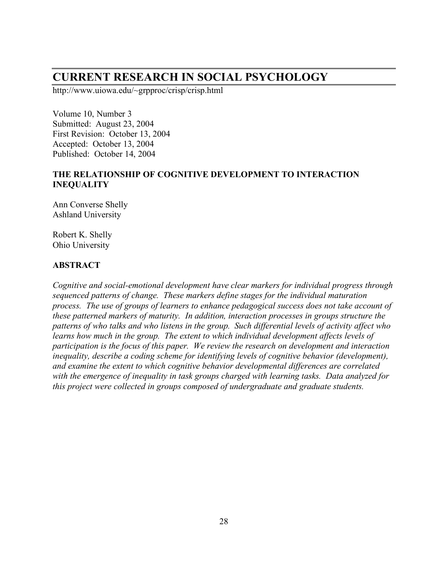# **CURRENT RESEARCH IN SOCIAL PSYCHOLOGY**

http://www.uiowa.edu/~grpproc/crisp/crisp.html

Volume 10, Number 3 Submitted: August 23, 2004 First Revision: October 13, 2004 Accepted: October 13, 2004 Published: October 14, 2004

# **THE RELATIONSHIP OF COGNITIVE DEVELOPMENT TO INTERACTION INEQUALITY**

Ann Converse Shelly Ashland University

Robert K. Shelly Ohio University

# **ABSTRACT**

*Cognitive and social-emotional development have clear markers for individual progress through sequenced patterns of change. These markers define stages for the individual maturation process. The use of groups of learners to enhance pedagogical success does not take account of these patterned markers of maturity. In addition, interaction processes in groups structure the patterns of who talks and who listens in the group. Such differential levels of activity affect who learns how much in the group. The extent to which individual development affects levels of participation is the focus of this paper. We review the research on development and interaction inequality, describe a coding scheme for identifying levels of cognitive behavior (development), and examine the extent to which cognitive behavior developmental differences are correlated with the emergence of inequality in task groups charged with learning tasks. Data analyzed for this project were collected in groups composed of undergraduate and graduate students.*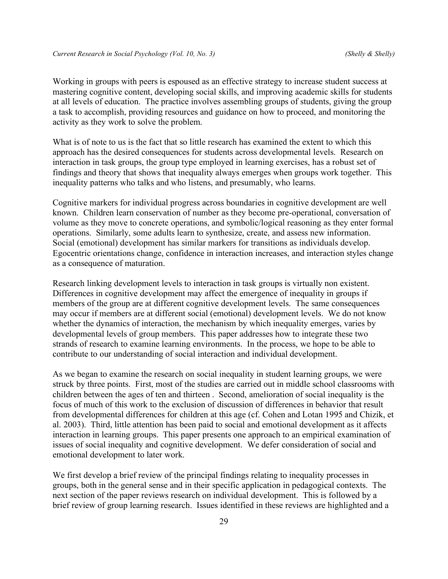Working in groups with peers is espoused as an effective strategy to increase student success at mastering cognitive content, developing social skills, and improving academic skills for students at all levels of education. The practice involves assembling groups of students, giving the group a task to accomplish, providing resources and guidance on how to proceed, and monitoring the activity as they work to solve the problem.

What is of note to us is the fact that so little research has examined the extent to which this approach has the desired consequences for students across developmental levels. Research on interaction in task groups, the group type employed in learning exercises, has a robust set of findings and theory that shows that inequality always emerges when groups work together. This inequality patterns who talks and who listens, and presumably, who learns.

Cognitive markers for individual progress across boundaries in cognitive development are well known. Children learn conservation of number as they become pre-operational, conversation of volume as they move to concrete operations, and symbolic/logical reasoning as they enter formal operations. Similarly, some adults learn to synthesize, create, and assess new information. Social (emotional) development has similar markers for transitions as individuals develop. Egocentric orientations change, confidence in interaction increases, and interaction styles change as a consequence of maturation.

Research linking development levels to interaction in task groups is virtually non existent. Differences in cognitive development may affect the emergence of inequality in groups if members of the group are at different cognitive development levels. The same consequences may occur if members are at different social (emotional) development levels. We do not know whether the dynamics of interaction, the mechanism by which inequality emerges, varies by developmental levels of group members. This paper addresses how to integrate these two strands of research to examine learning environments. In the process, we hope to be able to contribute to our understanding of social interaction and individual development.

As we began to examine the research on social inequality in student learning groups, we were struck by three points. First, most of the studies are carried out in middle school classrooms with children between the ages of ten and thirteen . Second, amelioration of social inequality is the focus of much of this work to the exclusion of discussion of differences in behavior that result from developmental differences for children at this age (cf. Cohen and Lotan 1995 and Chizik, et al. 2003). Third, little attention has been paid to social and emotional development as it affects interaction in learning groups. This paper presents one approach to an empirical examination of issues of social inequality and cognitive development. We defer consideration of social and emotional development to later work.

We first develop a brief review of the principal findings relating to inequality processes in groups, both in the general sense and in their specific application in pedagogical contexts. The next section of the paper reviews research on individual development. This is followed by a brief review of group learning research. Issues identified in these reviews are highlighted and a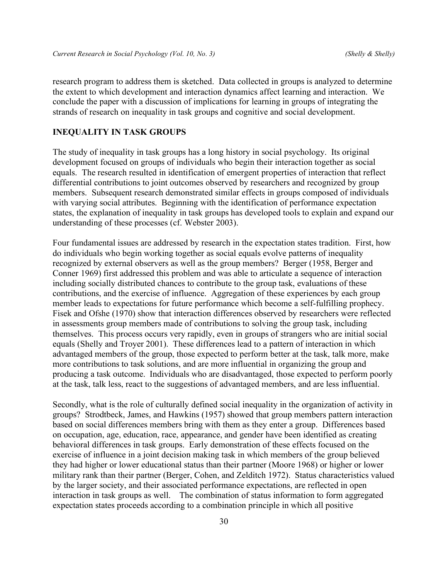research program to address them is sketched. Data collected in groups is analyzed to determine the extent to which development and interaction dynamics affect learning and interaction. We conclude the paper with a discussion of implications for learning in groups of integrating the strands of research on inequality in task groups and cognitive and social development.

## **INEQUALITY IN TASK GROUPS**

The study of inequality in task groups has a long history in social psychology. Its original development focused on groups of individuals who begin their interaction together as social equals. The research resulted in identification of emergent properties of interaction that reflect differential contributions to joint outcomes observed by researchers and recognized by group members. Subsequent research demonstrated similar effects in groups composed of individuals with varying social attributes. Beginning with the identification of performance expectation states, the explanation of inequality in task groups has developed tools to explain and expand our understanding of these processes (cf. Webster 2003).

Four fundamental issues are addressed by research in the expectation states tradition. First, how do individuals who begin working together as social equals evolve patterns of inequality recognized by external observers as well as the group members? Berger (1958, Berger and Conner 1969) first addressed this problem and was able to articulate a sequence of interaction including socially distributed chances to contribute to the group task, evaluations of these contributions, and the exercise of influence. Aggregation of these experiences by each group member leads to expectations for future performance which become a self-fulfilling prophecy. Fisek and Ofshe (1970) show that interaction differences observed by researchers were reflected in assessments group members made of contributions to solving the group task, including themselves. This process occurs very rapidly, even in groups of strangers who are initial social equals (Shelly and Troyer 2001). These differences lead to a pattern of interaction in which advantaged members of the group, those expected to perform better at the task, talk more, make more contributions to task solutions, and are more influential in organizing the group and producing a task outcome. Individuals who are disadvantaged, those expected to perform poorly at the task, talk less, react to the suggestions of advantaged members, and are less influential.

Secondly, what is the role of culturally defined social inequality in the organization of activity in groups? Strodtbeck, James, and Hawkins (1957) showed that group members pattern interaction based on social differences members bring with them as they enter a group. Differences based on occupation, age, education, race, appearance, and gender have been identified as creating behavioral differences in task groups. Early demonstration of these effects focused on the exercise of influence in a joint decision making task in which members of the group believed they had higher or lower educational status than their partner (Moore 1968) or higher or lower military rank than their partner (Berger, Cohen, and Zelditch 1972). Status characteristics valued by the larger society, and their associated performance expectations, are reflected in open interaction in task groups as well. The combination of status information to form aggregated expectation states proceeds according to a combination principle in which all positive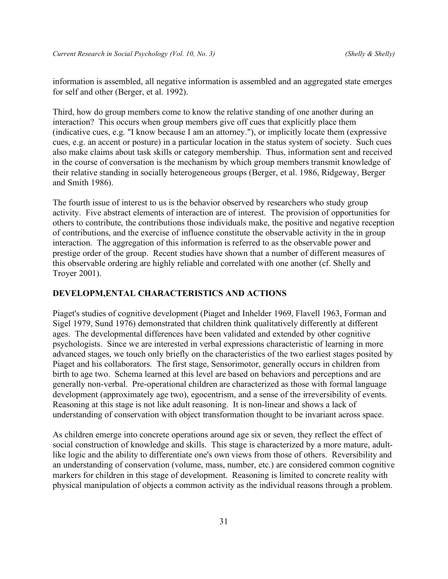information is assembled, all negative information is assembled and an aggregated state emerges for self and other (Berger, et al. 1992).

Third, how do group members come to know the relative standing of one another during an interaction? This occurs when group members give off cues that explicitly place them (indicative cues, e.g. "I know because I am an attorney."), or implicitly locate them (expressive cues, e.g. an accent or posture) in a particular location in the status system of society. Such cues also make claims about task skills or category membership. Thus, information sent and received in the course of conversation is the mechanism by which group members transmit knowledge of their relative standing in socially heterogeneous groups (Berger, et al. 1986, Ridgeway, Berger and Smith 1986).

The fourth issue of interest to us is the behavior observed by researchers who study group activity. Five abstract elements of interaction are of interest. The provision of opportunities for others to contribute, the contributions those individuals make, the positive and negative reception of contributions, and the exercise of influence constitute the observable activity in the in group interaction. The aggregation of this information is referred to as the observable power and prestige order of the group. Recent studies have shown that a number of different measures of this observable ordering are highly reliable and correlated with one another (cf. Shelly and Troyer 2001).

## **DEVELOPM,ENTAL CHARACTERISTICS AND ACTIONS**

Piaget's studies of cognitive development (Piaget and Inhelder 1969, Flavell 1963, Forman and Sigel 1979, Sund 1976) demonstrated that children think qualitatively differently at different ages. The developmental differences have been validated and extended by other cognitive psychologists. Since we are interested in verbal expressions characteristic of learning in more advanced stages, we touch only briefly on the characteristics of the two earliest stages posited by Piaget and his collaborators. The first stage, Sensorimotor, generally occurs in children from birth to age two. Schema learned at this level are based on behaviors and perceptions and are generally non-verbal. Pre-operational children are characterized as those with formal language development (approximately age two), egocentrism, and a sense of the irreversibility of events. Reasoning at this stage is not like adult reasoning. It is non-linear and shows a lack of understanding of conservation with object transformation thought to be invariant across space.

As children emerge into concrete operations around age six or seven, they reflect the effect of social construction of knowledge and skills. This stage is characterized by a more mature, adultlike logic and the ability to differentiate one's own views from those of others. Reversibility and an understanding of conservation (volume, mass, number, etc.) are considered common cognitive markers for children in this stage of development. Reasoning is limited to concrete reality with physical manipulation of objects a common activity as the individual reasons through a problem.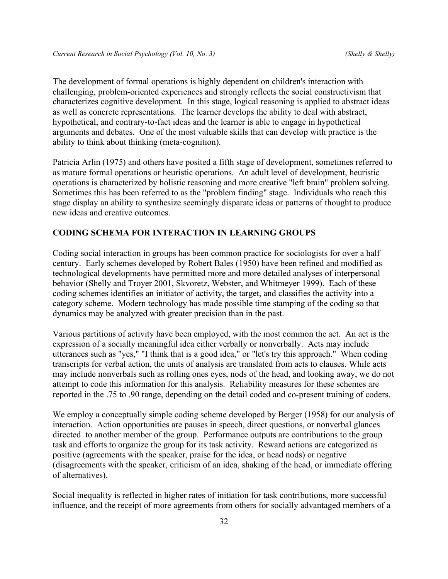The development of formal operations is highly dependent on children's interaction with challenging, problem-oriented experiences and strongly reflects the social constructivism that characterizes cognitive development. In this stage, logical reasoning is applied to abstract ideas as well as concrete representations. The learner develops the ability to deal with abstract, hypothetical, and contrary-to-fact ideas and the learner is able to engage in hypothetical arguments and debates. One of the most valuable skills that can develop with practice is the ability to think about thinking (meta-cognition).

Patricia Arlin (1975) and others have posited a fifth stage of development, sometimes referred to as mature formal operations or heuristic operations. An adult level of development, heuristic operations is characterized by holistic reasoning and more creative "left brain" problem solving. Sometimes this has been referred to as the "problem finding" stage. Individuals who reach this stage display an ability to synthesize seemingly disparate ideas or patterns of thought to produce new ideas and creative outcomes.

#### **CODING SCHEMA FOR INTERACTION IN LEARNING GROUPS**

Coding social interaction in groups has been common practice for sociologists for over a half century. Early schemes developed by Robert Bales (1950) have been refined and modified as technological developments have permitted more and more detailed analyses of interpersonal behavior (Shelly and Troyer 2001, Skvoretz, Webster, and Whitmeyer 1999). Each of these coding schemes identifies an initiator of activity, the target, and classifies the activity into a category scheme. Modern technology has made possible time stamping of the coding so that dynamics may be analyzed with greater precision than in the past.

Various partitions of activity have been employed, with the most common the act. An act is the expression of a socially meaningful idea either verbally or nonverbally. Acts may include utterances such as "yes," "I think that is a good idea," or "let's try this approach." When coding transcripts for verbal action, the units of analysis are translated from acts to clauses. While acts may include nonverbals such as rolling ones eyes, nods of the head, and looking away, we do not attempt to code this information for this analysis. Reliability measures for these schemes are reported in the .75 to .90 range, depending on the detail coded and co-present training of coders.

We employ a conceptually simple coding scheme developed by Berger (1958) for our analysis of interaction. Action opportunities are pauses in speech, direct questions, or nonverbal glances directed to another member of the group. Performance outputs are contributions to the group task and efforts to organize the group for its task activity. Reward actions are categorized as positive (agreements with the speaker, praise for the idea, or head nods) or negative (disagreements with the speaker, criticism of an idea, shaking of the head, or immediate offering of alternatives).

Social inequality is reflected in higher rates of initiation for task contributions, more successful influence, and the receipt of more agreements from others for socially advantaged members of a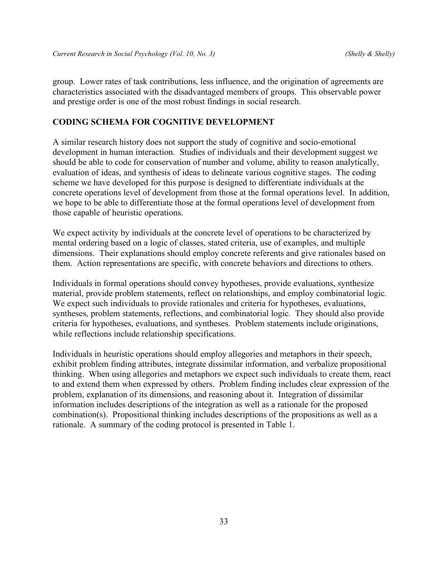group. Lower rates of task contributions, less influence, and the origination of agreements are characteristics associated with the disadvantaged members of groups. This observable power and prestige order is one of the most robust findings in social research.

## **CODING SCHEMA FOR COGNITIVE DEVELOPMENT**

A similar research history does not support the study of cognitive and socio-emotional development in human interaction. Studies of individuals and their development suggest we should be able to code for conservation of number and volume, ability to reason analytically, evaluation of ideas, and synthesis of ideas to delineate various cognitive stages. The coding scheme we have developed for this purpose is designed to differentiate individuals at the concrete operations level of development from those at the formal operations level. In addition, we hope to be able to differentiate those at the formal operations level of development from those capable of heuristic operations.

We expect activity by individuals at the concrete level of operations to be characterized by mental ordering based on a logic of classes, stated criteria, use of examples, and multiple dimensions. Their explanations should employ concrete referents and give rationales based on them. Action representations are specific, with concrete behaviors and directions to others.

Individuals in formal operations should convey hypotheses, provide evaluations, synthesize material, provide problem statements, reflect on relationships, and employ combinatorial logic. We expect such individuals to provide rationales and criteria for hypotheses, evaluations, syntheses, problem statements, reflections, and combinatorial logic. They should also provide criteria for hypotheses, evaluations, and syntheses. Problem statements include originations, while reflections include relationship specifications.

Individuals in heuristic operations should employ allegories and metaphors in their speech, exhibit problem finding attributes, integrate dissimilar information, and verbalize propositional thinking. When using allegories and metaphors we expect such individuals to create them, react to and extend them when expressed by others. Problem finding includes clear expression of the problem, explanation of its dimensions, and reasoning about it. Integration of dissimilar information includes descriptions of the integration as well as a rationale for the proposed combination(s). Propositional thinking includes descriptions of the propositions as well as a rationale. A summary of the coding protocol is presented in Table 1.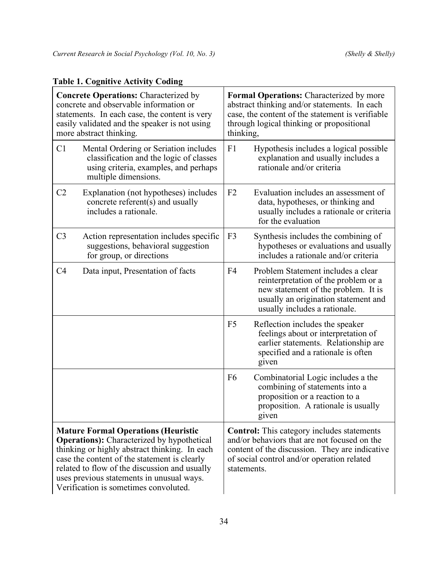| <b>Table 1. Cognitive Activity Coding</b> |  |
|-------------------------------------------|--|
|                                           |  |

| <b>Concrete Operations: Characterized by</b><br>concrete and observable information or<br>statements. In each case, the content is very<br>easily validated and the speaker is not using<br>more abstract thinking.                                                                                                                    | <b>Formal Operations:</b> Characterized by more<br>abstract thinking and/or statements. In each<br>case, the content of the statement is verifiable<br>through logical thinking or propositional<br>thinking,    |  |  |
|----------------------------------------------------------------------------------------------------------------------------------------------------------------------------------------------------------------------------------------------------------------------------------------------------------------------------------------|------------------------------------------------------------------------------------------------------------------------------------------------------------------------------------------------------------------|--|--|
| C <sub>1</sub><br>Mental Ordering or Seriation includes<br>classification and the logic of classes<br>using criteria, examples, and perhaps<br>multiple dimensions.                                                                                                                                                                    | F1<br>Hypothesis includes a logical possible<br>explanation and usually includes a<br>rationale and/or criteria                                                                                                  |  |  |
| C <sub>2</sub><br>Explanation (not hypotheses) includes<br>concrete referent(s) and usually<br>includes a rationale.                                                                                                                                                                                                                   | F <sub>2</sub><br>Evaluation includes an assessment of<br>data, hypotheses, or thinking and<br>usually includes a rationale or criteria<br>for the evaluation                                                    |  |  |
| C <sub>3</sub><br>Action representation includes specific<br>suggestions, behavioral suggestion<br>for group, or directions                                                                                                                                                                                                            | F <sub>3</sub><br>Synthesis includes the combining of<br>hypotheses or evaluations and usually<br>includes a rationale and/or criteria                                                                           |  |  |
| C4<br>Data input, Presentation of facts                                                                                                                                                                                                                                                                                                | Problem Statement includes a clear<br>F <sub>4</sub><br>reinterpretation of the problem or a<br>new statement of the problem. It is<br>usually an origination statement and<br>usually includes a rationale.     |  |  |
|                                                                                                                                                                                                                                                                                                                                        | F <sub>5</sub><br>Reflection includes the speaker<br>feelings about or interpretation of<br>earlier statements. Relationship are<br>specified and a rationale is often<br>given                                  |  |  |
|                                                                                                                                                                                                                                                                                                                                        | F <sub>6</sub><br>Combinatorial Logic includes a the<br>combining of statements into a<br>proposition or a reaction to a<br>proposition. A rationale is usually<br>given                                         |  |  |
| <b>Mature Formal Operations (Heuristic</b><br><b>Operations:</b> Characterized by hypothetical<br>thinking or highly abstract thinking. In each<br>case the content of the statement is clearly<br>related to flow of the discussion and usually<br>uses previous statements in unusual ways.<br>Verification is sometimes convoluted. | <b>Control:</b> This category includes statements<br>and/or behaviors that are not focused on the<br>content of the discussion. They are indicative<br>of social control and/or operation related<br>statements. |  |  |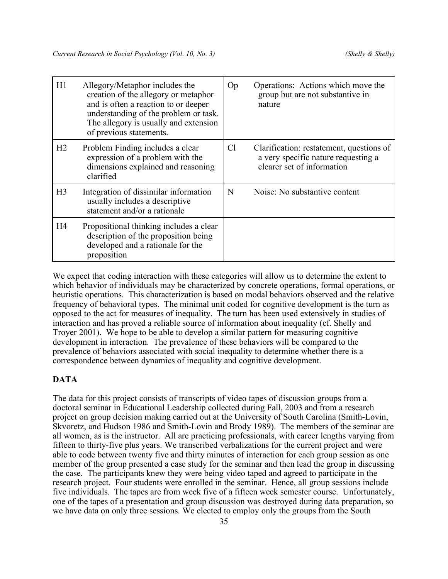| H1             | Allegory/Metaphor includes the<br>creation of the allegory or metaphor<br>and is often a reaction to or deeper<br>understanding of the problem or task.<br>The allegory is usually and extension<br>of previous statements. | Op             | Operations: Actions which move the<br>group but are not substantive in<br>nature                              |
|----------------|-----------------------------------------------------------------------------------------------------------------------------------------------------------------------------------------------------------------------------|----------------|---------------------------------------------------------------------------------------------------------------|
| H2             | Problem Finding includes a clear<br>expression of a problem with the<br>dimensions explained and reasoning<br>clarified                                                                                                     | C <sub>1</sub> | Clarification: restatement, questions of<br>a very specific nature requesting a<br>clearer set of information |
| H <sub>3</sub> | Integration of dissimilar information<br>usually includes a descriptive<br>statement and/or a rationale                                                                                                                     | N              | Noise: No substantive content                                                                                 |
| H4             | Propositional thinking includes a clear<br>description of the proposition being<br>developed and a rationale for the<br>proposition                                                                                         |                |                                                                                                               |

We expect that coding interaction with these categories will allow us to determine the extent to which behavior of individuals may be characterized by concrete operations, formal operations, or heuristic operations. This characterization is based on modal behaviors observed and the relative frequency of behavioral types. The minimal unit coded for cognitive development is the turn as opposed to the act for measures of inequality. The turn has been used extensively in studies of interaction and has proved a reliable source of information about inequality (cf. Shelly and Troyer 2001). We hope to be able to develop a similar pattern for measuring cognitive development in interaction. The prevalence of these behaviors will be compared to the prevalence of behaviors associated with social inequality to determine whether there is a correspondence between dynamics of inequality and cognitive development.

# **DATA**

The data for this project consists of transcripts of video tapes of discussion groups from a doctoral seminar in Educational Leadership collected during Fall, 2003 and from a research project on group decision making carried out at the University of South Carolina (Smith-Lovin, Skvoretz, and Hudson 1986 and Smith-Lovin and Brody 1989). The members of the seminar are all women, as is the instructor. All are practicing professionals, with career lengths varying from fifteen to thirty-five plus years. We transcribed verbalizations for the current project and were able to code between twenty five and thirty minutes of interaction for each group session as one member of the group presented a case study for the seminar and then lead the group in discussing the case. The participants knew they were being video taped and agreed to participate in the research project. Four students were enrolled in the seminar. Hence, all group sessions include five individuals. The tapes are from week five of a fifteen week semester course. Unfortunately, one of the tapes of a presentation and group discussion was destroyed during data preparation, so we have data on only three sessions. We elected to employ only the groups from the South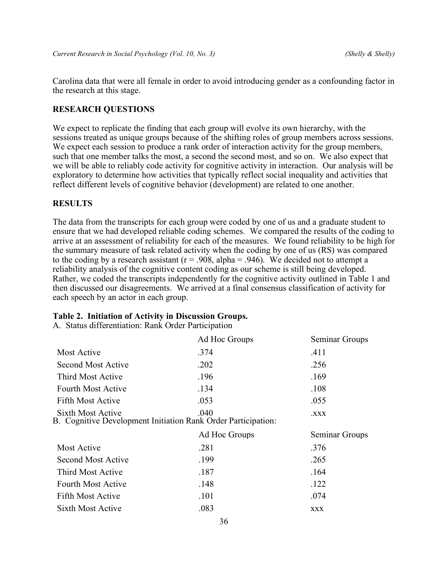Carolina data that were all female in order to avoid introducing gender as a confounding factor in the research at this stage.

## **RESEARCH QUESTIONS**

We expect to replicate the finding that each group will evolve its own hierarchy, with the sessions treated as unique groups because of the shifting roles of group members across sessions. We expect each session to produce a rank order of interaction activity for the group members, such that one member talks the most, a second the second most, and so on. We also expect that we will be able to reliably code activity for cognitive activity in interaction. Our analysis will be exploratory to determine how activities that typically reflect social inequality and activities that reflect different levels of cognitive behavior (development) are related to one another.

## **RESULTS**

The data from the transcripts for each group were coded by one of us and a graduate student to ensure that we had developed reliable coding schemes. We compared the results of the coding to arrive at an assessment of reliability for each of the measures. We found reliability to be high for the summary measure of task related activity when the coding by one of us (RS) was compared to the coding by a research assistant ( $r = .908$ , alpha = .946). We decided not to attempt a reliability analysis of the cognitive content coding as our scheme is still being developed. Rather, we coded the transcripts independently for the cognitive activity outlined in Table 1 and then discussed our disagreements. We arrived at a final consensus classification of activity for each speech by an actor in each group.

#### **Table 2. Initiation of Activity in Discussion Groups.**

A. Status differentiation: Rank Order Participation

| Ad Hoc Groups | Seminar Groups                                                       |
|---------------|----------------------------------------------------------------------|
| .374          | .411                                                                 |
| .202          | .256                                                                 |
| .196          | .169                                                                 |
| .134          | .108                                                                 |
| .053          | .055                                                                 |
| .040          | <b>XXX.</b>                                                          |
|               |                                                                      |
| Ad Hoc Groups | Seminar Groups                                                       |
| .281          | .376                                                                 |
| .199          | .265                                                                 |
| .187          | .164                                                                 |
| .148          | .122                                                                 |
| .101          | .074                                                                 |
|               | <b>B.</b> Cognitive Development Initiation Rank Order Participation: |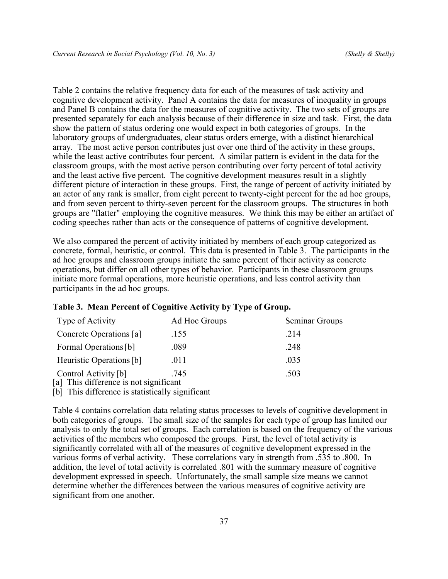Table 2 contains the relative frequency data for each of the measures of task activity and cognitive development activity. Panel A contains the data for measures of inequality in groups and Panel B contains the data for the measures of cognitive activity. The two sets of groups are presented separately for each analysis because of their difference in size and task. First, the data show the pattern of status ordering one would expect in both categories of groups. In the laboratory groups of undergraduates, clear status orders emerge, with a distinct hierarchical array. The most active person contributes just over one third of the activity in these groups, while the least active contributes four percent. A similar pattern is evident in the data for the classroom groups, with the most active person contributing over forty percent of total activity and the least active five percent. The cognitive development measures result in a slightly different picture of interaction in these groups. First, the range of percent of activity initiated by an actor of any rank is smaller, from eight percent to twenty-eight percent for the ad hoc groups, and from seven percent to thirty-seven percent for the classroom groups. The structures in both groups are "flatter" employing the cognitive measures. We think this may be either an artifact of coding speeches rather than acts or the consequence of patterns of cognitive development.

We also compared the percent of activity initiated by members of each group categorized as concrete, formal, heuristic, or control. This data is presented in Table 3. The participants in the ad hoc groups and classroom groups initiate the same percent of their activity as concrete operations, but differ on all other types of behavior. Participants in these classroom groups initiate more formal operations, more heuristic operations, and less control activity than participants in the ad hoc groups.

| Type of Activity                       | Ad Hoc Groups | Seminar Groups |
|----------------------------------------|---------------|----------------|
| Concrete Operations [a]                | .155          | .214           |
| Formal Operations [b]                  | .089          | .248           |
| Heuristic Operations [b]               | .011          | .035           |
| Control Activity [b]                   | .745          | .503           |
| [a] This difference is not significant |               |                |

#### **Table 3. Mean Percent of Cognitive Activity by Type of Group.**

[b] This difference is statistically significant

Table 4 contains correlation data relating status processes to levels of cognitive development in both categories of groups. The small size of the samples for each type of group has limited our analysis to only the total set of groups. Each correlation is based on the frequency of the various activities of the members who composed the groups. First, the level of total activity is significantly correlated with all of the measures of cognitive development expressed in the various forms of verbal activity. These correlations vary in strength from .535 to .800. In addition, the level of total activity is correlated .801 with the summary measure of cognitive development expressed in speech. Unfortunately, the small sample size means we cannot determine whether the differences between the various measures of cognitive activity are significant from one another.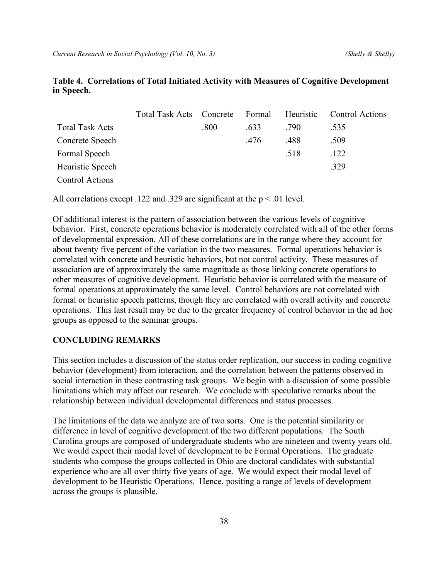## **Table 4. Correlations of Total Initiated Activity with Measures of Cognitive Development in Speech.**

|                        | Total Task Acts Concrete |      | Formal | Heuristic | <b>Control Actions</b> |
|------------------------|--------------------------|------|--------|-----------|------------------------|
| <b>Total Task Acts</b> |                          | .800 | .633   | .790      | .535                   |
| Concrete Speech        |                          |      | .476   | .488      | .509                   |
| Formal Speech          |                          |      |        | .518      | .122                   |
| Heuristic Speech       |                          |      |        |           | .329                   |
| <b>Control Actions</b> |                          |      |        |           |                        |

All correlations except .122 and .329 are significant at the  $p < 0.01$  level.

Of additional interest is the pattern of association between the various levels of cognitive behavior. First, concrete operations behavior is moderately correlated with all of the other forms of developmental expression. All of these correlations are in the range where they account for about twenty five percent of the variation in the two measures. Formal operations behavior is correlated with concrete and heuristic behaviors, but not control activity. These measures of association are of approximately the same magnitude as those linking concrete operations to other measures of cognitive development. Heuristic behavior is correlated with the measure of formal operations at approximately the same level. Control behaviors are not correlated with formal or heuristic speech patterns, though they are correlated with overall activity and concrete operations. This last result may be due to the greater frequency of control behavior in the ad hoc groups as opposed to the seminar groups.

#### **CONCLUDING REMARKS**

This section includes a discussion of the status order replication, our success in coding cognitive behavior (development) from interaction, and the correlation between the patterns observed in social interaction in these contrasting task groups. We begin with a discussion of some possible limitations which may affect our research. We conclude with speculative remarks about the relationship between individual developmental differences and status processes.

The limitations of the data we analyze are of two sorts. One is the potential similarity or difference in level of cognitive development of the two different populations. The South Carolina groups are composed of undergraduate students who are nineteen and twenty years old. We would expect their modal level of development to be Formal Operations. The graduate students who compose the groups collected in Ohio are doctoral candidates with substantial experience who are all over thirty five years of age. We would expect their modal level of development to be Heuristic Operations. Hence, positing a range of levels of development across the groups is plausible.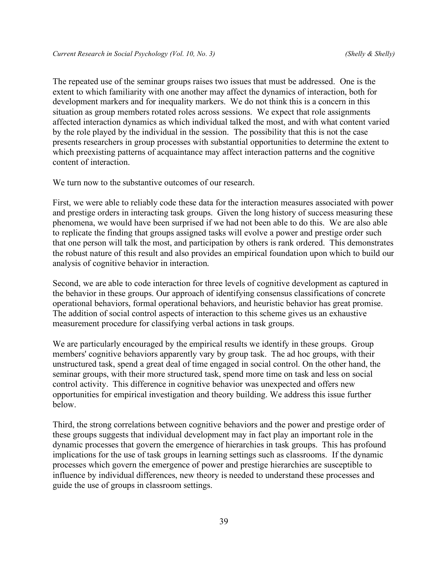The repeated use of the seminar groups raises two issues that must be addressed. One is the extent to which familiarity with one another may affect the dynamics of interaction, both for development markers and for inequality markers. We do not think this is a concern in this situation as group members rotated roles across sessions. We expect that role assignments affected interaction dynamics as which individual talked the most, and with what content varied by the role played by the individual in the session. The possibility that this is not the case presents researchers in group processes with substantial opportunities to determine the extent to which preexisting patterns of acquaintance may affect interaction patterns and the cognitive content of interaction.

We turn now to the substantive outcomes of our research.

First, we were able to reliably code these data for the interaction measures associated with power and prestige orders in interacting task groups. Given the long history of success measuring these phenomena, we would have been surprised if we had not been able to do this. We are also able to replicate the finding that groups assigned tasks will evolve a power and prestige order such that one person will talk the most, and participation by others is rank ordered. This demonstrates the robust nature of this result and also provides an empirical foundation upon which to build our analysis of cognitive behavior in interaction.

Second, we are able to code interaction for three levels of cognitive development as captured in the behavior in these groups. Our approach of identifying consensus classifications of concrete operational behaviors, formal operational behaviors, and heuristic behavior has great promise. The addition of social control aspects of interaction to this scheme gives us an exhaustive measurement procedure for classifying verbal actions in task groups.

We are particularly encouraged by the empirical results we identify in these groups. Group members' cognitive behaviors apparently vary by group task. The ad hoc groups, with their unstructured task, spend a great deal of time engaged in social control. On the other hand, the seminar groups, with their more structured task, spend more time on task and less on social control activity. This difference in cognitive behavior was unexpected and offers new opportunities for empirical investigation and theory building. We address this issue further below.

Third, the strong correlations between cognitive behaviors and the power and prestige order of these groups suggests that individual development may in fact play an important role in the dynamic processes that govern the emergence of hierarchies in task groups. This has profound implications for the use of task groups in learning settings such as classrooms. If the dynamic processes which govern the emergence of power and prestige hierarchies are susceptible to influence by individual differences, new theory is needed to understand these processes and guide the use of groups in classroom settings.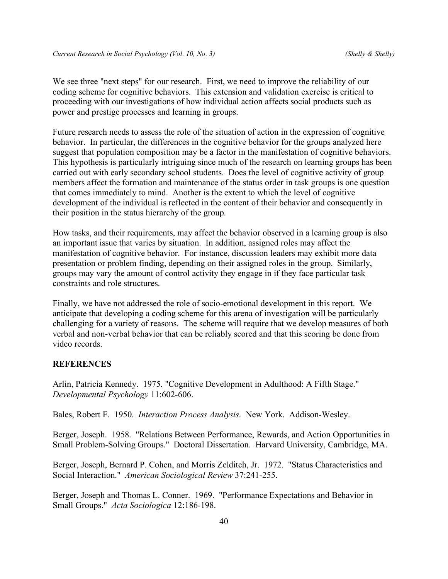We see three "next steps" for our research. First, we need to improve the reliability of our coding scheme for cognitive behaviors. This extension and validation exercise is critical to proceeding with our investigations of how individual action affects social products such as power and prestige processes and learning in groups.

Future research needs to assess the role of the situation of action in the expression of cognitive behavior. In particular, the differences in the cognitive behavior for the groups analyzed here suggest that population composition may be a factor in the manifestation of cognitive behaviors. This hypothesis is particularly intriguing since much of the research on learning groups has been carried out with early secondary school students. Does the level of cognitive activity of group members affect the formation and maintenance of the status order in task groups is one question that comes immediately to mind. Another is the extent to which the level of cognitive development of the individual is reflected in the content of their behavior and consequently in their position in the status hierarchy of the group.

How tasks, and their requirements, may affect the behavior observed in a learning group is also an important issue that varies by situation. In addition, assigned roles may affect the manifestation of cognitive behavior. For instance, discussion leaders may exhibit more data presentation or problem finding, depending on their assigned roles in the group. Similarly, groups may vary the amount of control activity they engage in if they face particular task constraints and role structures.

Finally, we have not addressed the role of socio-emotional development in this report. We anticipate that developing a coding scheme for this arena of investigation will be particularly challenging for a variety of reasons. The scheme will require that we develop measures of both verbal and non-verbal behavior that can be reliably scored and that this scoring be done from video records.

#### **REFERENCES**

Arlin, Patricia Kennedy. 1975. "Cognitive Development in Adulthood: A Fifth Stage." *Developmental Psychology* 11:602-606.

Bales, Robert F. 1950. *Interaction Process Analysis*. New York. Addison-Wesley.

Berger, Joseph. 1958. "Relations Between Performance, Rewards, and Action Opportunities in Small Problem-Solving Groups." Doctoral Dissertation. Harvard University, Cambridge, MA.

Berger, Joseph, Bernard P. Cohen, and Morris Zelditch, Jr. 1972. "Status Characteristics and Social Interaction." *American Sociological Review* 37:241-255.

Berger, Joseph and Thomas L. Conner. 1969. "Performance Expectations and Behavior in Small Groups." *Acta Sociologica* 12:186-198.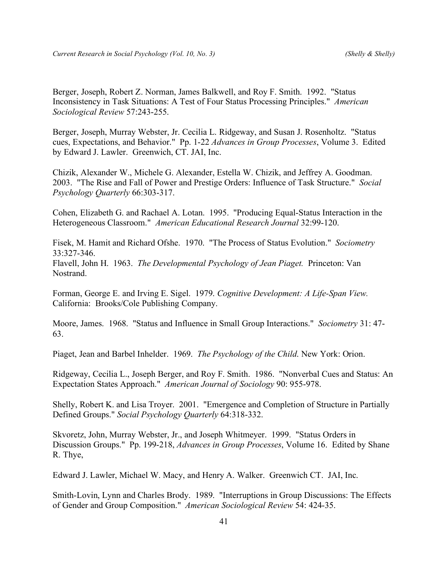Berger, Joseph, Robert Z. Norman, James Balkwell, and Roy F. Smith. 1992. "Status Inconsistency in Task Situations: A Test of Four Status Processing Principles." *American Sociological Review* 57:243-255.

Berger, Joseph, Murray Webster, Jr. Cecilia L. Ridgeway, and Susan J. Rosenholtz. "Status cues, Expectations, and Behavior." Pp. 1-22 *Advances in Group Processes*, Volume 3. Edited by Edward J. Lawler. Greenwich, CT. JAI, Inc.

Chizik, Alexander W., Michele G. Alexander, Estella W. Chizik, and Jeffrey A. Goodman. 2003. "The Rise and Fall of Power and Prestige Orders: Influence of Task Structure." *Social Psychology Quarterly* 66:303-317.

Cohen, Elizabeth G. and Rachael A. Lotan. 1995. "Producing Equal-Status Interaction in the Heterogeneous Classroom." *American Educational Research Journal* 32:99-120.

Fisek, M. Hamit and Richard Ofshe. 1970. "The Process of Status Evolution." *Sociometry* 33:327-346.

Flavell, John H. 1963. *The Developmental Psychology of Jean Piaget.* Princeton: Van Nostrand.

Forman, George E. and Irving E. Sigel. 1979. *Cognitive Development: A Life-Span View.* California: Brooks/Cole Publishing Company.

Moore, James. 1968. "Status and Influence in Small Group Interactions." *Sociometry* 31: 47- 63.

Piaget, Jean and Barbel Inhelder. 1969. *The Psychology of the Child*. New York: Orion.

Ridgeway, Cecilia L., Joseph Berger, and Roy F. Smith. 1986. "Nonverbal Cues and Status: An Expectation States Approach." *American Journal of Sociology* 90: 955-978.

Shelly, Robert K. and Lisa Troyer. 2001. "Emergence and Completion of Structure in Partially Defined Groups." *Social Psychology Quarterly* 64:318-332.

Skvoretz, John, Murray Webster, Jr., and Joseph Whitmeyer. 1999. "Status Orders in Discussion Groups." Pp. 199-218, *Advances in Group Processes*, Volume 16. Edited by Shane R. Thye,

Edward J. Lawler, Michael W. Macy, and Henry A. Walker. Greenwich CT. JAI, Inc.

Smith-Lovin, Lynn and Charles Brody. 1989. "Interruptions in Group Discussions: The Effects of Gender and Group Composition." *American Sociological Review* 54: 424-35.